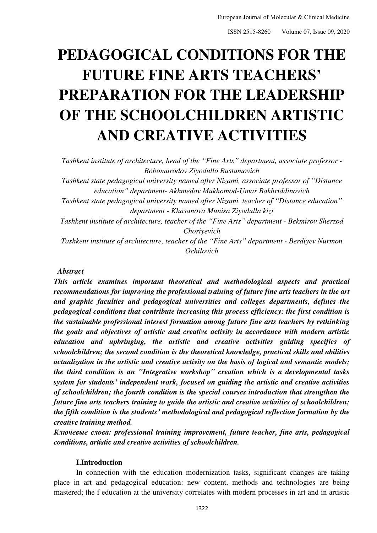ISSN 2515-8260 Volume 07, Issue 09, 2020

# **PEDAGOGICAL CONDITIONS FOR THE FUTURE FINE ARTS TEACHERS' PREPARATION FOR THE LEADERSHIP OF THE SCHOOLCHILDREN ARTISTIC AND CREATIVE ACTIVITIES**

*Tashkent institute of architecture, head of the "Fine Arts" department, associate professor - Bobomurodov Ziyodullo Rustamovich* 

*Tashkent state pedagogical university named after Nizami, associate professor of "Distance education" department- Akhmedov Mukhomod-Umar Bakhriddinovich* 

*Tashkent state pedagogical university named after Nizami, teacher of "Distance education" department - Khasanova Munisa Ziyodulla kizi* 

*Tashkent institute of architecture, teacher of the "Fine Arts" department - Bekmirov Sherzod Choriyevich* 

*Tashkent institute of architecture, teacher of the "Fine Arts" department - Berdiyev Nurmon Ochilovich* 

#### *Abstract*

*This article examines important theoretical and methodological aspects and practical recommendations for improving the professional training of future fine arts teachers in the art and graphic faculties and pedagogical universities and colleges departments, defines the pedagogical conditions that contribute increasing this process efficiency: the first condition is the sustainable professional interest formation among future fine arts teachers by rethinking the goals and objectives of artistic and creative activity in accordance with modern artistic education and upbringing, the artistic and creative activities guiding specifics of schoolchildren; the second condition is the theoretical knowledge, practical skills and abilities actualization in the artistic and creative activity on the basis of logical and semantic models; the third condition is an "Integrative workshop" creation which is a developmental tasks system for students' independent work, focused on guiding the artistic and creative activities of schoolchildren; the fourth condition is the special courses introduction that strengthen the future fine arts teachers training to guide the artistic and creative activities of schoolchildren; the fifth condition is the students' methodological and pedagogical reflection formation by the creative training method.* 

*Ключевые слова: professional training improvement, future teacher, fine arts, pedagogical conditions, artistic and creative activities of schoolchildren.* 

#### **I.Introduction**

In connection with the education modernization tasks, significant changes are taking place in art and pedagogical education: new content, methods and technologies are being mastered; the f education at the university correlates with modern processes in art and in artistic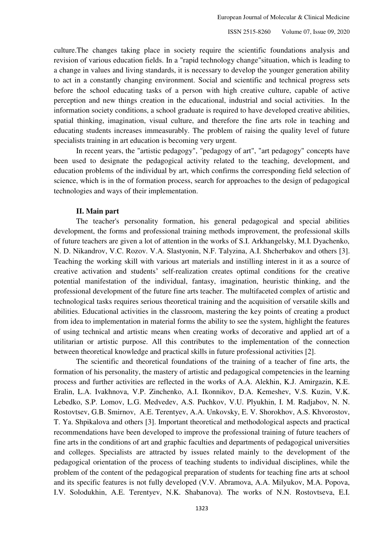culture.The changes taking place in society require the scientific foundations analysis and revision of various education fields. In a "rapid technology change"situation, which is leading to a change in values and living standards, it is necessary to develop the younger generation ability to act in a constantly changing environment. Social and scientific and technical progress sets before the school educating tasks of a person with high creative culture, capable of active perception and new things creation in the educational, industrial and social activities. In the information society conditions, a school graduate is required to have developed creative abilities, spatial thinking, imagination, visual culture, and therefore the fine arts role in teaching and educating students increases immeasurably. The problem of raising the quality level of future specialists training in art education is becoming very urgent.

In recent years, the "artistic pedagogy", "pedagogy of art", "art pedagogy" concepts have been used to designate the pedagogical activity related to the teaching, development, and education problems of the individual by art, which confirms the corresponding field selection of science, which is in the of formation process, search for approaches to the design of pedagogical technologies and ways of their implementation.

# **II. Main part**

The teacher's personality formation, his general pedagogical and special abilities development, the forms and professional training methods improvement, the professional skills of future teachers are given a lot of attention in the works of S.I. Arkhangelsky, M.I. Dyachenko, N. D. Nikandrov, V.C. Rozov. V.A. Slastyonin, N.F. Talyzina, A.I. Shcherbakov and others [3]. Teaching the working skill with various art materials and instilling interest in it as a source of creative activation and students' self-realization creates optimal conditions for the creative potential manifestation of the individual, fantasy, imagination, heuristic thinking, and the professional development of the future fine arts teacher. The multifaceted complex of artistic and technological tasks requires serious theoretical training and the acquisition of versatile skills and abilities. Educational activities in the classroom, mastering the key points of creating a product from idea to implementation in material forms the ability to see the system, highlight the features of using technical and artistic means when creating works of decorative and applied art of a utilitarian or artistic purpose. All this contributes to the implementation of the connection between theoretical knowledge and practical skills in future professional activities [2].

The scientific and theoretical foundations of the training of a teacher of fine arts, the formation of his personality, the mastery of artistic and pedagogical competencies in the learning process and further activities are reflected in the works of A.A. Alekhin, K.J. Amirgazin, K.E. Eralin, L.A. Ivakhnova, V.P. Zinchenko, A.I. Ikonnikov, D.A. Kemeshev, V.S. Kuzin, V.K. Lebedko, S.P. Lomov, L.G. Medvedev, A.S. Puchkov, V.U. Plyukhin, I. M. Radjabov, N. N. Rostovtsev, G.B. Smirnov, A.E. Terentyev, A.A. Unkovsky, E. V. Shorokhov, A.S. Khvorostov, T. Ya. Shpikalova and others [3]. Important theoretical and methodological aspects and practical recommendations have been developed to improve the professional training of future teachers of fine arts in the conditions of art and graphic faculties and departments of pedagogical universities and colleges. Specialists are attracted by issues related mainly to the development of the pedagogical orientation of the process of teaching students to individual disciplines, while the problem of the content of the pedagogical preparation of students for teaching fine arts at school and its specific features is not fully developed (V.V. Abramova, A.A. Milyukov, M.A. Popova, I.V. Solodukhin, A.E. Terentyev, N.K. Shabanova). The works of N.N. Rostovtseva, E.I.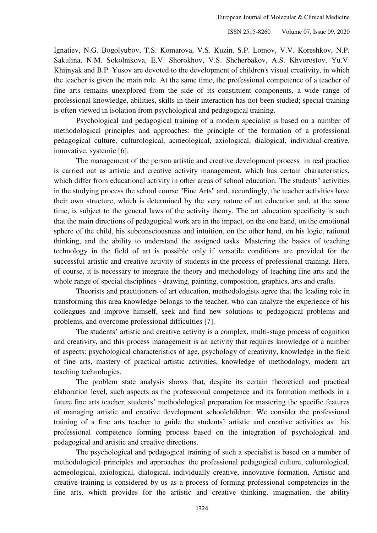Ignatiev, N.G. Bogolyubov, T.S. Komarova, V.S. Kuzin, S.P. Lomov, V.V. Koreshkov, N.P. Sakulina, N.M. Sokolnikova, E.V. Shorokhov, V.S. Shcherbakov, A.S. Khvorostov, Yu.V. Khijnyak and B.P. Yusov are devoted to the development of children's visual creativity, in which the teacher is given the main role. At the same time, the professional competence of a teacher of fine arts remains unexplored from the side of its constituent components, a wide range of professional knowledge, abilities, skills in their interaction has not been studied; special training is often viewed in isolation from psychological and pedagogical training.

Psychological and pedagogical training of a modern specialist is based on a number of methodological principles and approaches: the principle of the formation of a professional pedagogical culture, culturological, acmeological, axiological, dialogical, individual-creative, innovative, systemic [6].

The management of the person artistic and creative development process in real practice is carried out as artistic and creative activity management, which has certain characteristics, which differ from educational activity in other areas of school education. The students' activities in the studying process the school course "Fine Arts" and, accordingly, the teacher activities have their own structure, which is determined by the very nature of art education and, at the same time, is subject to the general laws of the activity theory. The art education specificity is such that the main directions of pedagogical work are in the impact, on the one hand, on the emotional sphere of the child, his subconsciousness and intuition, on the other hand, on his logic, rational thinking, and the ability to understand the assigned tasks. Mastering the basics of teaching technology in the field of art is possible only if versatile conditions are provided for the successful artistic and creative activity of students in the process of professional training. Here, of course, it is necessary to integrate the theory and methodology of teaching fine arts and the whole range of special disciplines - drawing, painting, composition, graphics, arts and crafts.

Theorists and practitioners of art education, methodologists agree that the leading role in transforming this area knowledge belongs to the teacher, who can analyze the experience of his colleagues and improve himself, seek and find new solutions to pedagogical problems and problems, and overcome professional difficulties [7].

The students' artistic and creative activity is a complex, multi-stage process of cognition and creativity, and this process management is an activity that requires knowledge of a number of aspects: psychological characteristics of age, psychology of creativity, knowledge in the field of fine arts, mastery of practical artistic activities, knowledge of methodology, modern art teaching technologies.

The problem state analysis shows that, despite its certain theoretical and practical elaboration level, such aspects as the professional competence and its formation methods in a future fine arts teacher, students' methodological preparation for mastering the specific features of managing artistic and creative development schoolchildren. We consider the professional training of a fine arts teacher to guide the students' artistic and creative activities as his professional competence forming process based on the integration of psychological and pedagogical and artistic and creative directions.

The psychological and pedagogical training of such a specialist is based on a number of methodological principles and approaches: the professional pedagogical culture, culturological, acmeological, axiological, dialogical, individually creative, innovative formation. Artistic and creative training is considered by us as a process of forming professional competencies in the fine arts, which provides for the artistic and creative thinking, imagination, the ability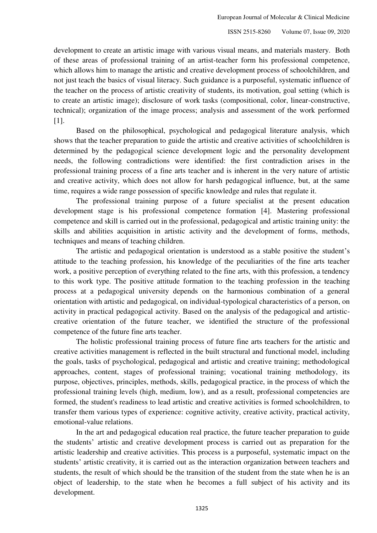development to create an artistic image with various visual means, and materials mastery. Both of these areas of professional training of an artist-teacher form his professional competence, which allows him to manage the artistic and creative development process of schoolchildren, and not just teach the basics of visual literacy. Such guidance is a purposeful, systematic influence of the teacher on the process of artistic creativity of students, its motivation, goal setting (which is to create an artistic image); disclosure of work tasks (compositional, color, linear-constructive, technical); organization of the image process; analysis and assessment of the work performed [1].

Based on the philosophical, psychological and pedagogical literature analysis, which shows that the teacher preparation to guide the artistic and creative activities of schoolchildren is determined by the pedagogical science development logic and the personality development needs, the following contradictions were identified: the first contradiction arises in the professional training process of a fine arts teacher and is inherent in the very nature of artistic and creative activity, which does not allow for harsh pedagogical influence, but, at the same time, requires a wide range possession of specific knowledge and rules that regulate it.

The professional training purpose of a future specialist at the present education development stage is his professional competence formation [4]. Mastering professional competence and skill is carried out in the professional, pedagogical and artistic training unity: the skills and abilities acquisition in artistic activity and the development of forms, methods, techniques and means of teaching children.

The artistic and pedagogical orientation is understood as a stable positive the student's attitude to the teaching profession, his knowledge of the peculiarities of the fine arts teacher work, a positive perception of everything related to the fine arts, with this profession, a tendency to this work type. The positive attitude formation to the teaching profession in the teaching process at a pedagogical university depends on the harmonious combination of a general orientation with artistic and pedagogical, on individual-typological characteristics of a person, on activity in practical pedagogical activity. Based on the analysis of the pedagogical and artisticcreative orientation of the future teacher, we identified the structure of the professional competence of the future fine arts teacher.

The holistic professional training process of future fine arts teachers for the artistic and creative activities management is reflected in the built structural and functional model, including the goals, tasks of psychological, pedagogical and artistic and creative training; methodological approaches, content, stages of professional training; vocational training methodology, its purpose, objectives, principles, methods, skills, pedagogical practice, in the process of which the professional training levels (high, medium, low), and as a result, professional competencies are formed, the student's readiness to lead artistic and creative activities is formed schoolchildren, to transfer them various types of experience: cognitive activity, creative activity, practical activity, emotional-value relations.

In the art and pedagogical education real practice, the future teacher preparation to guide the students' artistic and creative development process is carried out as preparation for the artistic leadership and creative activities. This process is a purposeful, systematic impact on the students' artistic creativity, it is carried out as the interaction organization between teachers and students, the result of which should be the transition of the student from the state when he is an object of leadership, to the state when he becomes a full subject of his activity and its development.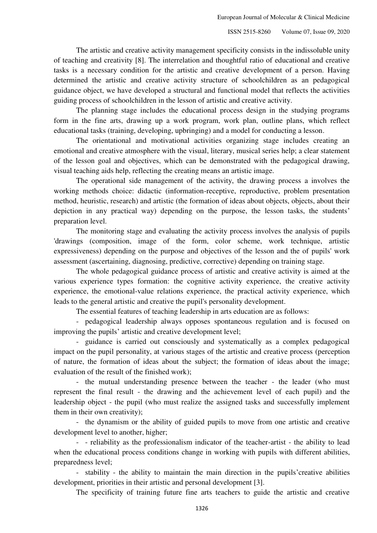The artistic and creative activity management specificity consists in the indissoluble unity of teaching and creativity [8]. The interrelation and thoughtful ratio of educational and creative tasks is a necessary condition for the artistic and creative development of a person. Having determined the artistic and creative activity structure of schoolchildren as an pedagogical guidance object, we have developed a structural and functional model that reflects the activities guiding process of schoolchildren in the lesson of artistic and creative activity.

The planning stage includes the educational process design in the studying programs form in the fine arts, drawing up a work program, work plan, outline plans, which reflect educational tasks (training, developing, upbringing) and a model for conducting a lesson.

The orientational and motivational activities organizing stage includes creating an emotional and creative atmosphere with the visual, literary, musical series help; a clear statement of the lesson goal and objectives, which can be demonstrated with the pedagogical drawing, visual teaching aids help, reflecting the creating means an artistic image.

The operational side management of the activity, the drawing process a involves the working methods choice: didactic (information-receptive, reproductive, problem presentation method, heuristic, research) and artistic (the formation of ideas about objects, objects, about their depiction in any practical way) depending on the purpose, the lesson tasks, the students' preparation level.

The monitoring stage and evaluating the activity process involves the analysis of pupils 'drawings (composition, image of the form, color scheme, work technique, artistic expressiveness) depending on the purpose and objectives of the lesson and the of pupils' work assessment (ascertaining, diagnosing, predictive, corrective) depending on training stage.

The whole pedagogical guidance process of artistic and creative activity is aimed at the various experience types formation: the cognitive activity experience, the creative activity experience, the emotional-value relations experience, the practical activity experience, which leads to the general artistic and creative the pupil's personality development.

The essential features of teaching leadership in arts education are as follows:

- pedagogical leadership always opposes spontaneous regulation and is focused on improving the pupils' artistic and creative development level;

- guidance is carried out consciously and systematically as a complex pedagogical impact on the pupil personality, at various stages of the artistic and creative process (perception of nature, the formation of ideas about the subject; the formation of ideas about the image; evaluation of the result of the finished work);

- the mutual understanding presence between the teacher - the leader (who must represent the final result - the drawing and the achievement level of each pupil) and the leadership object - the pupil (who must realize the assigned tasks and successfully implement them in their own creativity);

- the dynamism or the ability of guided pupils to move from one artistic and creative development level to another, higher;

- - reliability as the professionalism indicator of the teacher-artist - the ability to lead when the educational process conditions change in working with pupils with different abilities, preparedness level;

- stability - the ability to maintain the main direction in the pupils'creative abilities development, priorities in their artistic and personal development [3].

The specificity of training future fine arts teachers to guide the artistic and creative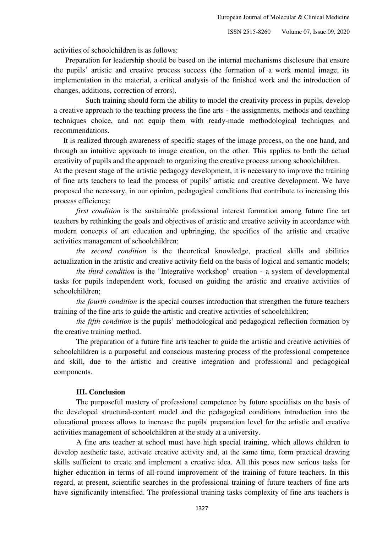activities of schoolchildren is as follows:

 Preparation for leadership should be based on the internal mechanisms disclosure that ensure the pupils' artistic and creative process success (the formation of a work mental image, its implementation in the material, a critical analysis of the finished work and the introduction of changes, additions, correction of errors).

 Such training should form the ability to model the creativity process in pupils, develop a creative approach to the teaching process the fine arts - the assignments, methods and teaching techniques choice, and not equip them with ready-made methodological techniques and recommendations.

 It is realized through awareness of specific stages of the image process, on the one hand, and through an intuitive approach to image creation, on the other. This applies to both the actual creativity of pupils and the approach to organizing the creative process among schoolchildren.

At the present stage of the artistic pedagogy development, it is necessary to improve the training of fine arts teachers to lead the process of pupils' artistic and creative development. We have proposed the necessary, in our opinion, pedagogical conditions that contribute to increasing this process efficiency:

*first condition* is the sustainable professional interest formation among future fine art teachers by rethinking the goals and objectives of artistic and creative activity in accordance with modern concepts of art education and upbringing, the specifics of the artistic and creative activities management of schoolchildren;

*the second condition* is the theoretical knowledge, practical skills and abilities actualization in the artistic and creative activity field on the basis of logical and semantic models;

*the third condition* is the "Integrative workshop" creation - a system of developmental tasks for pupils independent work, focused on guiding the artistic and creative activities of schoolchildren;

*the fourth condition* is the special courses introduction that strengthen the future teachers training of the fine arts to guide the artistic and creative activities of schoolchildren;

*the fifth condition* is the pupils' methodological and pedagogical reflection formation by the creative training method.

The preparation of a future fine arts teacher to guide the artistic and creative activities of schoolchildren is a purposeful and conscious mastering process of the professional competence and skill, due to the artistic and creative integration and professional and pedagogical components.

### **III. Conclusion**

The purposeful mastery of professional competence by future specialists on the basis of the developed structural-content model and the pedagogical conditions introduction into the educational process allows to increase the pupils' preparation level for the artistic and creative activities management of schoolchildren at the study at a university.

A fine arts teacher at school must have high special training, which allows children to develop aesthetic taste, activate creative activity and, at the same time, form practical drawing skills sufficient to create and implement a creative idea. All this poses new serious tasks for higher education in terms of all-round improvement of the training of future teachers. In this regard, at present, scientific searches in the professional training of future teachers of fine arts have significantly intensified. The professional training tasks complexity of fine arts teachers is